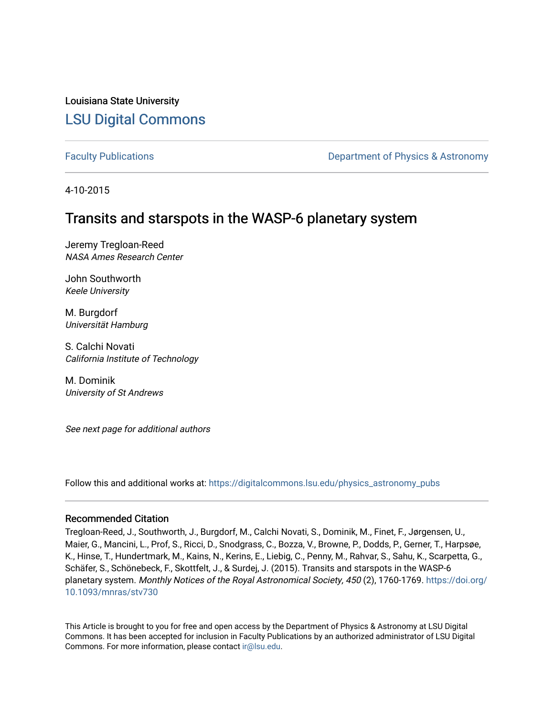Louisiana State University [LSU Digital Commons](https://digitalcommons.lsu.edu/)

[Faculty Publications](https://digitalcommons.lsu.edu/physics_astronomy_pubs) **Example 2** Constant Department of Physics & Astronomy

4-10-2015

# Transits and starspots in the WASP-6 planetary system

Jeremy Tregloan-Reed NASA Ames Research Center

John Southworth Keele University

M. Burgdorf Universität Hamburg

S. Calchi Novati California Institute of Technology

M. Dominik University of St Andrews

See next page for additional authors

Follow this and additional works at: [https://digitalcommons.lsu.edu/physics\\_astronomy\\_pubs](https://digitalcommons.lsu.edu/physics_astronomy_pubs?utm_source=digitalcommons.lsu.edu%2Fphysics_astronomy_pubs%2F4194&utm_medium=PDF&utm_campaign=PDFCoverPages) 

## Recommended Citation

Tregloan-Reed, J., Southworth, J., Burgdorf, M., Calchi Novati, S., Dominik, M., Finet, F., Jørgensen, U., Maier, G., Mancini, L., Prof, S., Ricci, D., Snodgrass, C., Bozza, V., Browne, P., Dodds, P., Gerner, T., Harpsøe, K., Hinse, T., Hundertmark, M., Kains, N., Kerins, E., Liebig, C., Penny, M., Rahvar, S., Sahu, K., Scarpetta, G., Schäfer, S., Schönebeck, F., Skottfelt, J., & Surdej, J. (2015). Transits and starspots in the WASP-6 planetary system. Monthly Notices of the Royal Astronomical Society, 450 (2), 1760-1769. [https://doi.org/](https://doi.org/10.1093/mnras/stv730) [10.1093/mnras/stv730](https://doi.org/10.1093/mnras/stv730) 

This Article is brought to you for free and open access by the Department of Physics & Astronomy at LSU Digital Commons. It has been accepted for inclusion in Faculty Publications by an authorized administrator of LSU Digital Commons. For more information, please contact [ir@lsu.edu](mailto:ir@lsu.edu).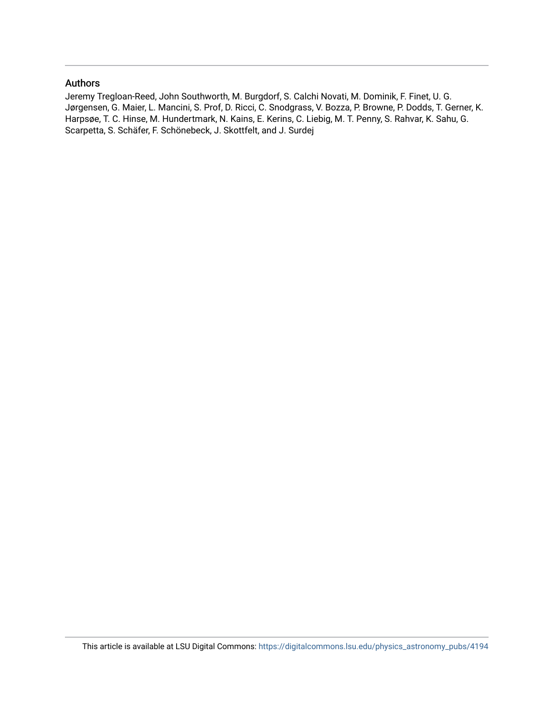## Authors

Jeremy Tregloan-Reed, John Southworth, M. Burgdorf, S. Calchi Novati, M. Dominik, F. Finet, U. G. Jørgensen, G. Maier, L. Mancini, S. Prof, D. Ricci, C. Snodgrass, V. Bozza, P. Browne, P. Dodds, T. Gerner, K. Harpsøe, T. C. Hinse, M. Hundertmark, N. Kains, E. Kerins, C. Liebig, M. T. Penny, S. Rahvar, K. Sahu, G. Scarpetta, S. Schäfer, F. Schönebeck, J. Skottfelt, and J. Surdej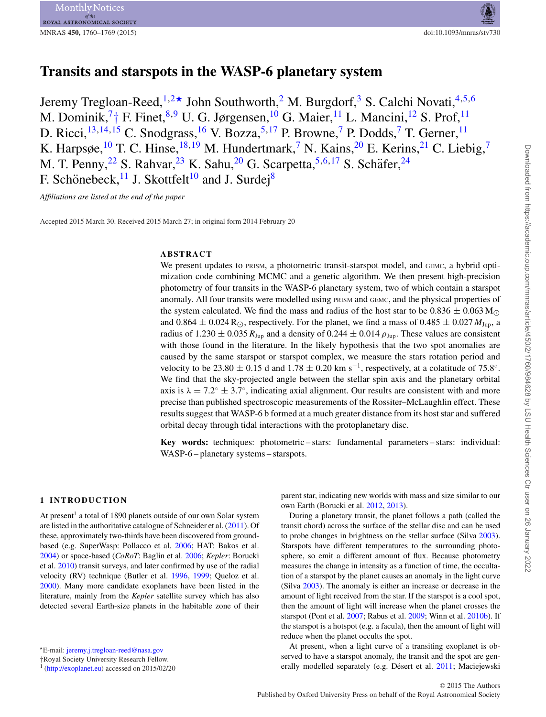# **Transits and starspots in the WASP-6 planetary system**

Jeremy Tregloan-Reed,  $1,2\star$  $1,2\star$  $1,2\star$  John Southworth, <sup>2</sup> M. Burgdorf, <sup>[3](#page-11-2)</sup> S. Calchi Novati, <sup>[4,](#page-11-3)[5,](#page-11-4)[6](#page-11-5)</sup> M. Dominik,<sup>[7](#page-11-6)</sup>[†](#page-2-1) F. Finet,<sup>[8,](#page-11-7)[9](#page-11-8)</sup> U. G. Jørgensen,<sup>10</sup> G. Maier,<sup>[11](#page-11-10)</sup> L. Mancini,<sup>[12](#page-11-11)</sup> S. Prof,<sup>11</sup> D. Ricci,<sup>[13](#page-11-12)[,14,](#page-11-13)[15](#page-11-14)</sup> C. Snodgrass,<sup>[16](#page-11-15)</sup> V. Bozza,<sup>[5,](#page-11-4)[17](#page-11-16)</sup> P. Browne,<sup>[7](#page-11-6)</sup> P. Dodds,<sup>7</sup> T. Gerner,<sup>[11](#page-11-10)</sup> K. Harpsøe,  $^{10}$  T. C. Hinse,  $^{18,19}$  $^{18,19}$  $^{18,19}$  $^{18,19}$  M. Hundertmark, <sup>[7](#page-11-6)</sup> N. Kains,  $^{20}$  E. Kerins,  $^{21}$  $^{21}$  $^{21}$  C. Liebig, <sup>7</sup> M. T. Penny,<sup>[22](#page-11-21)</sup> S. Rahvar,<sup>[23](#page-11-22)</sup> K. Sahu,<sup>[20](#page-11-19)</sup> G. Scarpetta,<sup>5[,6,](#page-11-5)[17](#page-11-16)</sup> S. Schäfer,<sup>[24](#page-11-23)</sup> F. Schönebeck, <sup>[11](#page-11-10)</sup> J. Skottfelt<sup>10</sup> and J. Surdej<sup>8</sup>

*Affiliations are listed at the end of the paper*

Accepted 2015 March 30. Received 2015 March 27; in original form 2014 February 20

## **ABSTRACT**

We present updates to PRISM, a photometric transit-starspot model, and GEMC, a hybrid optimization code combining MCMC and a genetic algorithm. We then present high-precision photometry of four transits in the WASP-6 planetary system, two of which contain a starspot anomaly. All four transits were modelled using PRISM and GEMC, and the physical properties of the system calculated. We find the mass and radius of the host star to be  $0.836 \pm 0.063$  M<sub>O</sub> and  $0.864 \pm 0.024$  R<sub>O</sub>, respectively. For the planet, we find a mass of  $0.485 \pm 0.027$  *M*<sub>Jup</sub>, a radius of 1.230  $\pm$  0.035  $R_{Jup}$  and a density of 0.244  $\pm$  0.014  $\rho_{Jup}$ . These values are consistent with those found in the literature. In the likely hypothesis that the two spot anomalies are caused by the same starspot or starspot complex, we measure the stars rotation period and velocity to be 23.80  $\pm$  0.15 d and 1.78  $\pm$  0.20 km s<sup>-1</sup>, respectively, at a colatitude of 75.8°. We find that the sky-projected angle between the stellar spin axis and the planetary orbital axis is  $\lambda = 7.2^\circ \pm 3.7^\circ$ , indicating axial alignment. Our results are consistent with and more precise than published spectroscopic measurements of the Rossiter–McLaughlin effect. These results suggest that WASP-6 b formed at a much greater distance from its host star and suffered orbital decay through tidal interactions with the protoplanetary disc.

**Key words:** techniques: photometric – stars: fundamental parameters – stars: individual: WASP-6 – planetary systems – starspots.

## **1 INTRODUCTION**

At present<sup>1</sup> a total of 1890 planets outside of our own Solar system are listed in the authoritative catalogue of Schneider et al. [\(2011\)](#page-11-24). Of these, approximately two-thirds have been discovered from groundbased (e.g. SuperWasp: Pollacco et al. [2006;](#page-11-25) HAT: Bakos et al. [2004\)](#page-11-26) or space-based (*CoRoT*: Baglin et al. [2006;](#page-11-27) *Kepler*: Borucki et al. [2010\)](#page-11-28) transit surveys, and later confirmed by use of the radial velocity (RV) technique (Butler et al. [1996,](#page-11-29) [1999;](#page-11-30) Queloz et al. [2000\)](#page-11-31). Many more candidate exoplanets have been listed in the literature, mainly from the *Kepler* satellite survey which has also detected several Earth-size planets in the habitable zone of their parent star, indicating new worlds with mass and size similar to our own Earth (Borucki et al. [2012,](#page-11-32) [2013\)](#page-11-33).

During a planetary transit, the planet follows a path (called the transit chord) across the surface of the stellar disc and can be used to probe changes in brightness on the stellar surface (Silva [2003\)](#page-11-34). Starspots have different temperatures to the surrounding photosphere, so emit a different amount of flux. Because photometry measures the change in intensity as a function of time, the occultation of a starspot by the planet causes an anomaly in the light curve (Silva [2003\)](#page-11-34). The anomaly is either an increase or decrease in the amount of light received from the star. If the starspot is a cool spot, then the amount of light will increase when the planet crosses the starspot (Pont et al. [2007;](#page-11-35) Rabus et al. [2009;](#page-11-36) Winn et al. [2010b\)](#page-11-37). If the starspot is a hotspot (e.g. a facula), then the amount of light will reduce when the planet occults the spot.

At present, when a light curve of a transiting exoplanet is observed to have a starspot anomaly, the transit and the spot are gen-erally modelled separately (e.g. Désert et al. [2011;](#page-11-38) Maciejewski

<span id="page-2-0"></span>E-mail: [jeremy.j.tregloan-reed@nasa.gov](mailto:jeremy.j.tregloan-reed@nasa.gov)

<span id="page-2-1"></span><sup>†</sup>Royal Society University Research Fellow.

<sup>&</sup>lt;sup>1</sup> [\(http://exoplanet.eu\)](http://exoplanet.eu) accessed on 2015/02/20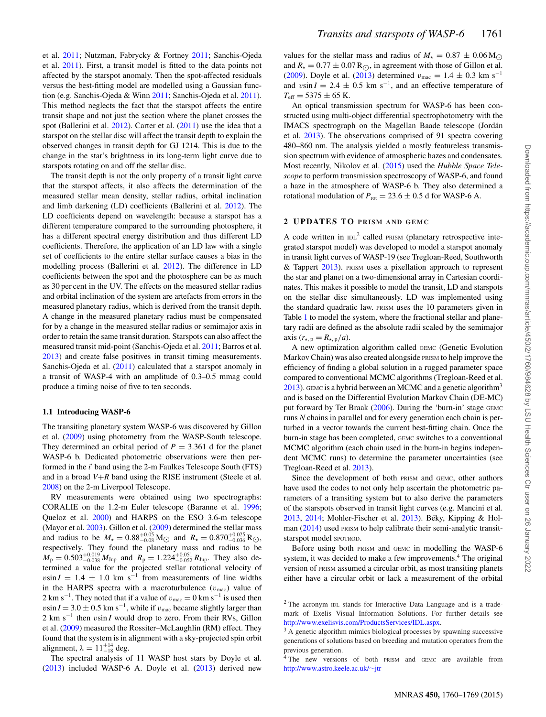et al. [2011;](#page-11-39) Nutzman, Fabrycky & Fortney [2011;](#page-11-40) Sanchis-Ojeda et al. [2011\)](#page-11-41). First, a transit model is fitted to the data points not affected by the starspot anomaly. Then the spot-affected residuals versus the best-fitting model are modelled using a Gaussian function (e.g. Sanchis-Ojeda & Winn [2011;](#page-11-42) Sanchis-Ojeda et al. [2011\)](#page-11-41). This method neglects the fact that the starspot affects the entire transit shape and not just the section where the planet crosses the spot (Ballerini et al. [2012\)](#page-11-43). Carter et al. [\(2011\)](#page-11-44) use the idea that a starspot on the stellar disc will affect the transit depth to explain the observed changes in transit depth for GJ 1214. This is due to the change in the star's brightness in its long-term light curve due to starspots rotating on and off the stellar disc.

The transit depth is not the only property of a transit light curve that the starspot affects, it also affects the determination of the measured stellar mean density, stellar radius, orbital inclination and limb darkening (LD) coefficients (Ballerini et al. [2012\)](#page-11-43). The LD coefficients depend on wavelength: because a starspot has a different temperature compared to the surrounding photosphere, it has a different spectral energy distribution and thus different LD coefficients. Therefore, the application of an LD law with a single set of coefficients to the entire stellar surface causes a bias in the modelling process (Ballerini et al. [2012\)](#page-11-43). The difference in LD coefficients between the spot and the photosphere can be as much as 30 per cent in the UV. The effects on the measured stellar radius and orbital inclination of the system are artefacts from errors in the measured planetary radius, which is derived from the transit depth. A change in the measured planetary radius must be compensated for by a change in the measured stellar radius or semimajor axis in order to retain the same transit duration. Starspots can also affect the measured transit mid-point (Sanchis-Ojeda et al. [2011;](#page-11-41) Barros et al. [2013\)](#page-11-45) and create false positives in transit timing measurements. Sanchis-Ojeda et al. [\(2011\)](#page-11-41) calculated that a starspot anomaly in a transit of WASP-4 with an amplitude of 0.3–0.5 mmag could produce a timing noise of five to ten seconds.

#### **1.1 Introducing WASP-6**

The transiting planetary system WASP-6 was discovered by Gillon et al. [\(2009\)](#page-11-46) using photometry from the WASP-South telescope. They determined an orbital period of  $P = 3.361$  d for the planet WASP-6 b. Dedicated photometric observations were then performed in the *i*' band using the 2-m Faulkes Telescope South (FTS) and in a broad  $V+R$  band using the RISE instrument (Steele et al. [2008\)](#page-11-47) on the 2-m Liverpool Telescope.

RV measurements were obtained using two spectrographs: CORALIE on the 1.2-m Euler telescope (Baranne et al. [1996;](#page-11-48) Queloz et al. [2000\)](#page-11-31) and HARPS on the ESO 3.6-m telescope (Mayor et al. [2003\)](#page-11-49). Gillon et al. [\(2009\)](#page-11-46) determined the stellar mass and radius to be  $M_{\star} = 0.88_{-0.08}^{+0.05} \text{M}_{\odot}$  and  $R_{\star} = 0.870_{-0.036}^{+0.025} \text{R}_{\odot}$ , respectively. They found the planetary mass and radius to be  $M_{\rm p} = 0.503_{-0.038}^{+0.019} M_{\rm Jup}$  and  $R_{\rm p} = 1.224_{-0.052}^{+0.051} R_{\rm Jup}$ . They also determined a value for the projected stellar rotational velocity of  $v\sin I = 1.4 \pm 1.0$  km s<sup>-1</sup> from measurements of line widths in the HARPS spectra with a macroturbulence  $(v_{\text{mac}})$  value of 2 km s<sup>−1</sup>. They noted that if a value of  $v_{\text{mac}} = 0$  km s<sup>−1</sup> is used then  $v\sin I = 3.0 \pm 0.5$  km s<sup>-1</sup>, while if  $v_{\text{mac}}$  became slightly larger than 2 km s<sup>-1</sup> then vsin *I* would drop to zero. From their RVs, Gillon et al. [\(2009\)](#page-11-46) measured the Rossiter–McLaughlin (RM) effect. They found that the system is in alignment with a sky-projected spin orbit alignment,  $\lambda = 11_{-18}^{+14}$  deg.

The spectral analysis of 11 WASP host stars by Doyle et al. [\(2013\)](#page-11-50) included WASP-6 A. Doyle et al. [\(2013\)](#page-11-50) derived new values for the stellar mass and radius of  $M_{\star} = 0.87 \pm 0.06$  M<sub>O</sub> and  $R_{\star} = 0.77 \pm 0.07 R_{\odot}$ , in agreement with those of Gillon et al.<br>(2000). Dark at al. (2013) determined with those  $1.4 \pm 0.2$  km s<sup>-1</sup> [\(2009\)](#page-11-46). Doyle et al. [\(2013\)](#page-11-50) determined  $v_{\text{mac}} = 1.4 \pm 0.3 \text{ km s}^{-1}$ and vsin  $I = 2.4 \pm 0.5$  km s<sup>-1</sup>, and an effective temperature of  $T_{\text{eff}} = 5375 \pm 65$  K.

An optical transmission spectrum for WASP-6 has been constructed using multi-object differential spectrophotometry with the IMACS spectrograph on the Magellan Baade telescope (Jordan´ et al. [2013\)](#page-11-51). The observations comprised of 91 spectra covering 480–860 nm. The analysis yielded a mostly featureless transmission spectrum with evidence of atmospheric hazes and condensates. Most recently, Nikolov et al. [\(2015\)](#page-11-52) used the *Hubble Space Telescope* to perform transmission spectroscopy of WASP-6, and found a haze in the atmosphere of WASP-6 b. They also determined a rotational modulation of  $P_{\text{rot}} = 23.6 \pm 0.5$  d for WASP-6 A.

#### **2 UPDATES TO PRISM AND GEMC**

A code written in  $IDL<sup>2</sup>$  called PRISM (planetary retrospective integrated starspot model) was developed to model a starspot anomaly in transit light curves of WASP-19 (see Tregloan-Reed, Southworth & Tappert [2013\)](#page-11-53). PRISM uses a pixellation approach to represent the star and planet on a two-dimensional array in Cartesian coordinates. This makes it possible to model the transit, LD and starspots on the stellar disc simultaneously. LD was implemented using the standard quadratic law. PRISM uses the 10 parameters given in Table [1](#page-4-0) to model the system, where the fractional stellar and planetary radii are defined as the absolute radii scaled by the semimajor axis  $(r_{\star, p} = R_{\star, p}/a)$ .

A new optimization algorithm called GEMC (Genetic Evolution Markov Chain) was also created alongside PRISM to help improve the efficiency of finding a global solution in a rugged parameter space compared to conventional MCMC algorithms (Tregloan-Reed et al.  $2013$ ). GEMC is a hybrid between an MCMC and a genetic algorithm<sup>3</sup> and is based on the Differential Evolution Markov Chain (DE-MC) put forward by Ter Braak [\(2006\)](#page-11-54). During the 'burn-in' stage GEMC runs *N* chains in parallel and for every generation each chain is perturbed in a vector towards the current best-fitting chain. Once the burn-in stage has been completed, GEMC switches to a conventional MCMC algorithm (each chain used in the burn-in begins independent MCMC runs) to determine the parameter uncertainties (see Tregloan-Reed et al. [2013\)](#page-11-53).

Since the development of both PRISM and GEMC, other authors have used the codes to not only help ascertain the photometric parameters of a transiting system but to also derive the parameters of the starspots observed in transit light curves (e.g. Mancini et al. [2013,](#page-11-55) [2014;](#page-11-56) Mohler-Fischer et al. [2013\)](#page-11-57). Béky, Kipping & Hol-man [\(2014\)](#page-11-58) used PRISM to help calibrate their semi-analytic transitstarspot model SPOTROD.

Before using both PRISM and GEMC in modelling the WASP-6 system, it was decided to make a few improvements.<sup>4</sup> The original version of PRISM assumed a circular orbit, as most transiting planets either have a circular orbit or lack a measurement of the orbital

<sup>2</sup> The acronym IDL stands for Interactive Data Language and is a trademark of Exelis Visual Information Solutions. For further details see [http://www.exelisvis.com/ProductsServices/IDL.aspx.](http://www.exelisvis.com/ProductsServices/IDL.aspx)

<sup>&</sup>lt;sup>3</sup> A genetic algorithm mimics biological processes by spawning successive generations of solutions based on breeding and mutation operators from the previous generation.

<sup>&</sup>lt;sup>4</sup> The new versions of both PRISM and GEMC are available from [http://www.astro.keele.ac.uk/](http://www.astro.keele.ac.uk/protect $
elax sim $jtr)∼jtr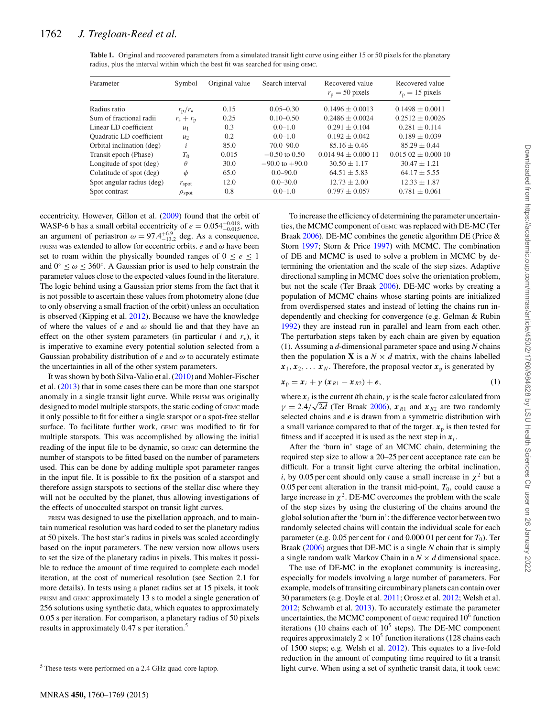| Parameter                 | Symbol                | Original value | Search interval    | Recovered value<br>$r_{\rm p} = 50$ pixels | Recovered value<br>$r_{\rm p} = 15$ pixels |
|---------------------------|-----------------------|----------------|--------------------|--------------------------------------------|--------------------------------------------|
| Radius ratio              | $r_{\rm p}/r_{\star}$ | 0.15           | $0.05 - 0.30$      | $0.1496 \pm 0.0013$                        | $0.1498 \pm 0.0011$                        |
| Sum of fractional radii   | $r_{\rm s}+r_{\rm p}$ | 0.25           | $0.10 - 0.50$      | $0.2486 + 0.0024$                          | $0.2512 + 0.0026$                          |
| Linear LD coefficient     | $u_1$                 | 0.3            | $0.0 - 1.0$        | $0.291 \pm 0.104$                          | $0.281 \pm 0.114$                          |
| Quadratic LD coefficient  | u <sub>2</sub>        | 0.2            | $0.0 - 1.0$        | $0.192 \pm 0.042$                          | $0.189 \pm 0.039$                          |
| Orbital inclination (deg) | $\iota$               | 85.0           | $70.0 - 90.0$      | $85.16 \pm 0.46$                           | $85.29 \pm 0.44$                           |
| Transit epoch (Phase)     | $T_0$                 | 0.015          | $-0.50$ to 0.50    | $0.01494 + 0.00011$                        | $0.01502 + 0.00010$                        |
| Longitude of spot (deg)   | $\theta$              | 30.0           | $-90.0$ to $+90.0$ | $30.50 \pm 1.17$                           | $30.47 \pm 1.21$                           |
| Colatitude of spot (deg)  | $\phi$                | 65.0           | $0.0 - 90.0$       | $64.51 + 5.83$                             | $64.17 + 5.55$                             |
| Spot angular radius (deg) | $r_{\rm spot}$        | 12.0           | $0.0 - 30.0$       | $12.73 \pm 2.00$                           | $12.33 \pm 1.87$                           |
| Spot contrast             | $\rho_{\text{spot}}$  | 0.8            | $0.0 - 1.0$        | $0.797 \pm 0.057$                          | $0.781 \pm 0.061$                          |

<span id="page-4-0"></span>**Table 1.** Original and recovered parameters from a simulated transit light curve using either 15 or 50 pixels for the planetary radius, plus the interval within which the best fit was searched for using GEMC.

eccentricity. However, Gillon et al. [\(2009\)](#page-11-46) found that the orbit of WASP-6 b has a small orbital eccentricity of  $e = 0.054^{+0.018}_{-0.015}$ , with an argument of periastron  $\omega = 97.4^{+6.9}_{-13.2}$  deg. As a consequence, PRISM was extended to allow for eccentric orbits.  $e$  and  $\omega$  have been set to roam within the physically bounded ranges of  $0 \le e \le 1$ and  $0° \le \omega \le 360°$ . A Gaussian prior is used to help constrain the parameter values close to the expected values found in the literature. The logic behind using a Gaussian prior stems from the fact that it is not possible to ascertain these values from photometry alone (due to only observing a small fraction of the orbit) unless an occultation is observed (Kipping et al. [2012\)](#page-11-59). Because we have the knowledge of where the values of  $e$  and  $\omega$  should lie and that they have an effect on the other system parameters (in particular  $i$  and  $r<sub>+</sub>$ ), it is imperative to examine every potential solution selected from a Gaussian probability distribution of  $e$  and  $\omega$  to accurately estimate the uncertainties in all of the other system parameters.

It was shown by both Silva-Valio et al. [\(2010\)](#page-11-60) and Mohler-Fischer et al. [\(2013\)](#page-11-57) that in some cases there can be more than one starspot anomaly in a single transit light curve. While PRISM was originally designed to model multiple starspots, the static coding of GEMC made it only possible to fit for either a single starspot or a spot-free stellar surface. To facilitate further work, GEMC was modified to fit for multiple starspots. This was accomplished by allowing the initial reading of the input file to be dynamic, so GEMC can determine the number of starspots to be fitted based on the number of parameters used. This can be done by adding multiple spot parameter ranges in the input file. It is possible to fix the position of a starspot and therefore assign starspots to sections of the stellar disc where they will not be occulted by the planet, thus allowing investigations of the effects of unocculted starspot on transit light curves.

PRISM was designed to use the pixellation approach, and to maintain numerical resolution was hard coded to set the planetary radius at 50 pixels. The host star's radius in pixels was scaled accordingly based on the input parameters. The new version now allows users to set the size of the planetary radius in pixels. This makes it possible to reduce the amount of time required to complete each model iteration, at the cost of numerical resolution (see Section 2.1 for more details). In tests using a planet radius set at 15 pixels, it took PRISM and GEMC approximately 13 s to model a single generation of 256 solutions using synthetic data, which equates to approximately 0.05 s per iteration. For comparison, a planetary radius of 50 pixels results in approximately 0.47 s per iteration.<sup>5</sup>

To increase the efficiency of determining the parameter uncertainties, the MCMC component of GEMC was replaced with DE-MC (Ter Braak [2006\)](#page-11-54). DE-MC combines the genetic algorithm DE (Price & Storn [1997;](#page-11-61) Storn & Price [1997\)](#page-11-62) with MCMC. The combination of DE and MCMC is used to solve a problem in MCMC by determining the orientation and the scale of the step sizes. Adaptive directional sampling in MCMC does solve the orientation problem, but not the scale (Ter Braak [2006\)](#page-11-54). DE-MC works by creating a population of MCMC chains whose starting points are initialized from overdispersed states and instead of letting the chains run independently and checking for convergence (e.g. Gelman & Rubin [1992\)](#page-11-63) they are instead run in parallel and learn from each other. The perturbation steps taken by each chain are given by equation (1). Assuming a *d*-dimensional parameter space and using *N* chains then the population **X** is a  $N \times d$  matrix, with the chains labelled  $x_1, x_2, \ldots, x_N$ . Therefore, the proposal vector  $x_p$  is generated by

$$
\boldsymbol{x}_{\mathrm{p}} = \boldsymbol{x}_{i} + \gamma \left( \boldsymbol{x}_{R1} - \boldsymbol{x}_{R2} \right) + \boldsymbol{e}, \tag{1}
$$

where  $x_i$  is the current *i*th chain,  $\gamma$  is the scale factor calculated from  $\gamma = 2.4/\sqrt{2d}$  (Ter Braak [2006\)](#page-11-54),  $x_{R1}$  and  $x_{R2}$  are two randomly selected chains and *e* is drawn from a symmetric distribution with a small variance compared to that of the target.  $x<sub>p</sub>$  is then tested for fitness and if accepted it is used as the next step in  $x_i$ .

After the 'burn in' stage of an MCMC chain, determining the required step size to allow a 20–25 per cent acceptance rate can be difficult. For a transit light curve altering the orbital inclination, *i*, by 0.05 per cent should only cause a small increase in  $\chi^2$  but a 0.05 per cent alteration in the transit mid-point,  $T_0$ , could cause a large increase in  $\chi^2$ . DE-MC overcomes the problem with the scale of the step sizes by using the clustering of the chains around the global solution after the 'burn in': the difference vector between two randomly selected chains will contain the individual scale for each parameter (e.g. 0.05 per cent for *i* and 0.000 01 per cent for  $T_0$ ). Ter Braak [\(2006\)](#page-11-54) argues that DE-MC is a single *N* chain that is simply a single random walk Markov Chain in a  $N \times d$  dimensional space.

The use of DE-MC in the exoplanet community is increasing, especially for models involving a large number of parameters. For example, models of transiting circumbinary planets can contain over 30 parameters (e.g. Doyle et al. [2011;](#page-11-64) Orosz et al. [2012;](#page-11-65) Welsh et al. [2012;](#page-11-66) Schwamb et al. [2013\)](#page-11-67). To accurately estimate the parameter uncertainties, the MCMC component of GEMC required 10<sup>6</sup> function iterations (10 chains each of  $10<sup>5</sup>$  steps). The DE-MC component requires approximately  $2 \times 10^5$  function iterations (128 chains each of 1500 steps; e.g. Welsh et al. [2012\)](#page-11-66). This equates to a five-fold reduction in the amount of computing time required to fit a transit light curve. When using a set of synthetic transit data, it took GEMC

<sup>5</sup> These tests were performed on a 2.4 GHz quad-core laptop.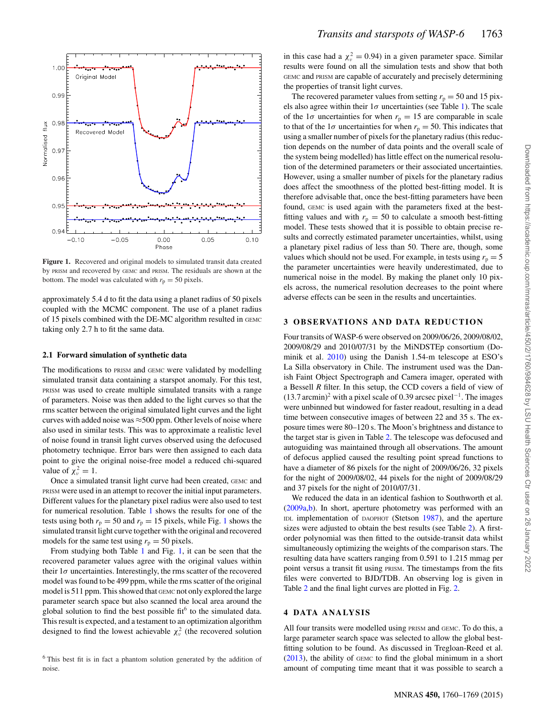<span id="page-5-0"></span>

**Figure 1.** Recovered and original models to simulated transit data created by PRISM and recovered by GEMC and PRISM. The residuals are shown at the bottom. The model was calculated with  $r_p = 50$  pixels.

approximately 5.4 d to fit the data using a planet radius of 50 pixels coupled with the MCMC component. The use of a planet radius of 15 pixels combined with the DE-MC algorithm resulted in GEMC taking only 2.7 h to fit the same data.

#### **2.1 Forward simulation of synthetic data**

The modifications to PRISM and GEMC were validated by modelling simulated transit data containing a starspot anomaly. For this test, PRISM was used to create multiple simulated transits with a range of parameters. Noise was then added to the light curves so that the rms scatter between the original simulated light curves and the light curves with added noise was  $\approx$  500 ppm. Other levels of noise where also used in similar tests. This was to approximate a realistic level of noise found in transit light curves observed using the defocused photometry technique. Error bars were then assigned to each data point to give the original noise-free model a reduced chi-squared value of  $\chi_v^2 = 1$ .

Once a simulated transit light curve had been created, GEMC and PRISM were used in an attempt to recover the initial input parameters. Different values for the planetary pixel radius were also used to test for numerical resolution. Table [1](#page-4-0) shows the results for one of the tests using both  $r_p = 50$  and  $r_p = 15$  $r_p = 15$  $r_p = 15$  pixels, while Fig. 1 shows the simulated transit light curve together with the original and recovered models for the same test using  $r_p = 50$  pixels.

From studying both Table [1](#page-4-0) and Fig. [1,](#page-5-0) it can be seen that the recovered parameter values agree with the original values within their  $1\sigma$  uncertainties. Interestingly, the rms scatter of the recovered model was found to be 499 ppm, while the rms scatter of the original model is 511 ppm. This showed that GEMC not only explored the large parameter search space but also scanned the local area around the global solution to find the best possible fit<sup>6</sup> to the simulated data. This result is expected, and a testament to an optimization algorithm designed to find the lowest achievable  $\chi^2_{\nu}$  (the recovered solution

<sup>6</sup> This best fit is in fact a phantom solution generated by the addition of noise.

in this case had a  $\chi_v^2 = 0.94$ ) in a given parameter space. Similar results were found on all the simulation tests and show that both GEMC and PRISM are capable of accurately and precisely determining the properties of transit light curves.

The recovered parameter values from setting  $r_p = 50$  and 15 pixels also agree within their  $1\sigma$  uncertainties (see Table [1\)](#page-4-0). The scale of the  $1\sigma$  uncertainties for when  $r_p = 15$  are comparable in scale to that of the  $1\sigma$  uncertainties for when  $r_p = 50$ . This indicates that using a smaller number of pixels for the planetary radius (this reduction depends on the number of data points and the overall scale of the system being modelled) has little effect on the numerical resolution of the determined parameters or their associated uncertainties. However, using a smaller number of pixels for the planetary radius does affect the smoothness of the plotted best-fitting model. It is therefore advisable that, once the best-fitting parameters have been found, GEMC is used again with the parameters fixed at the bestfitting values and with  $r_p = 50$  to calculate a smooth best-fitting model. These tests showed that it is possible to obtain precise results and correctly estimated parameter uncertainties, whilst, using a planetary pixel radius of less than 50. There are, though, some values which should not be used. For example, in tests using  $r_p = 5$ the parameter uncertainties were heavily underestimated, due to numerical noise in the model. By making the planet only 10 pixels across, the numerical resolution decreases to the point where adverse effects can be seen in the results and uncertainties.

## **3 OBSERVATIONS AND DATA REDUCTION**

Four transits of WASP-6 were observed on 2009/06/26, 2009/08/02, 2009/08/29 and 2010/07/31 by the MiNDSTEp consortium (Dominik et al. [2010\)](#page-11-68) using the Danish 1.54-m telescope at ESO's La Silla observatory in Chile. The instrument used was the Danish Faint Object Spectrograph and Camera imager, operated with a Bessell *R* filter. In this setup, the CCD covers a field of view of  $(13.7 \text{ arcmin})^2$  with a pixel scale of 0.39 arcsec pixel<sup>-1</sup>. The images were unbinned but windowed for faster readout, resulting in a dead time between consecutive images of between 22 and 35 s. The exposure times were 80–120 s. The Moon's brightness and distance to the target star is given in Table [2.](#page-6-0) The telescope was defocused and autoguiding was maintained through all observations. The amount of defocus applied caused the resulting point spread functions to have a diameter of 86 pixels for the night of 2009/06/26, 32 pixels for the night of 2009/08/02, 44 pixels for the night of 2009/08/29 and 37 pixels for the night of 2010/07/31.

We reduced the data in an identical fashion to Southworth et al. [\(2009a,](#page-11-69)[b\)](#page-11-70). In short, aperture photometry was performed with an IDL implementation of DAOPHOT (Stetson [1987\)](#page-11-71), and the aperture sizes were adjusted to obtain the best results (see Table [2\)](#page-6-0). A firstorder polynomial was then fitted to the outside-transit data whilst simultaneously optimizing the weights of the comparison stars. The resulting data have scatters ranging from 0.591 to 1.215 mmag per point versus a transit fit using PRISM. The timestamps from the fits files were converted to BJD/TDB. An observing log is given in Table [2](#page-6-0) and the final light curves are plotted in Fig. [2.](#page-6-1)

## **4 DATA ANALYSIS**

All four transits were modelled using PRISM and GEMC. To do this, a large parameter search space was selected to allow the global bestfitting solution to be found. As discussed in Tregloan-Reed et al. [\(2013\)](#page-11-53), the ability of GEMC to find the global minimum in a short amount of computing time meant that it was possible to search a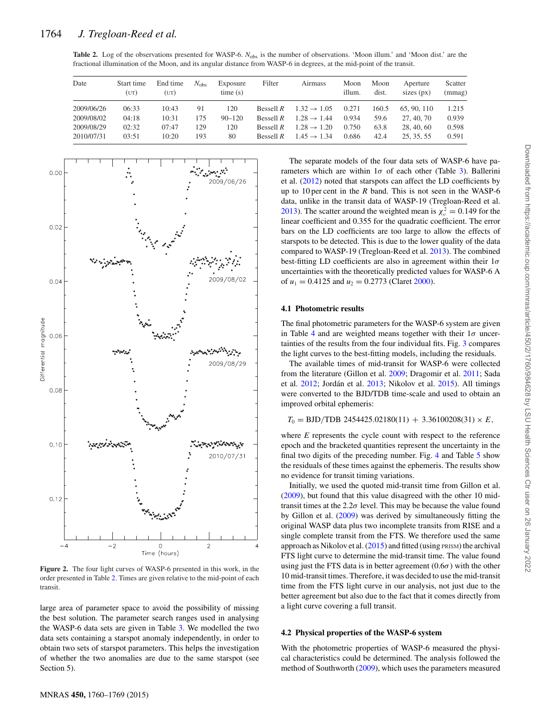<span id="page-6-0"></span>Table 2. Log of the observations presented for WASP-6. *N*<sub>obs</sub> is the number of observations. 'Moon illum.' and 'Moon dist.' are the fractional illumination of the Moon, and its angular distance from WASP-6 in degrees, at the mid-point of the transit.

| Date       | Start time<br>(UT) | End time<br>(UT) | $N_{\rm obs}$ | Exposure<br>time(s) | Filter      | Airmass                 | Moon<br>illum. | Moon<br>dist. | Aperture<br>sizes $(px)$ | Scatter<br>(mmag) |
|------------|--------------------|------------------|---------------|---------------------|-------------|-------------------------|----------------|---------------|--------------------------|-------------------|
| 2009/06/26 | 06:33              | 10:43            | 91            | 120                 | Bessell $R$ | $1.32 \rightarrow 1.05$ | 0.271          | 160.5         | 65, 90, 110              | 1.215             |
| 2009/08/02 | 04:18              | 10:31            | 175           | $90 - 120$          | Bessell $R$ | $1.28 \rightarrow 1.44$ | 0.934          | 59.6          | 27, 40, 70               | 0.939             |
| 2009/08/29 | 02:32              | 07:47            | 129           | 120                 | Bessell $R$ | $1.28 \rightarrow 1.20$ | 0.750          | 63.8          | 28, 40, 60               | 0.598             |
| 2010/07/31 | 03:51              | 10:20            | 193           | 80                  | Ressell $R$ | $1.45 \rightarrow 1.34$ | 0.686          | 42.4          | 25, 35, 55               | 0.591             |

<span id="page-6-1"></span>

**Figure 2.** The four light curves of WASP-6 presented in this work, in the order presented in Table [2.](#page-6-0) Times are given relative to the mid-point of each transit.

large area of parameter space to avoid the possibility of missing the best solution. The parameter search ranges used in analysing the WASP-6 data sets are given in Table [3.](#page-7-0) We modelled the two data sets containing a starspot anomaly independently, in order to obtain two sets of starspot parameters. This helps the investigation of whether the two anomalies are due to the same starspot (see Section 5).

The separate models of the four data sets of WASP-6 have parameters which are within  $1\sigma$  of each other (Table [3\)](#page-7-0). Ballerini et al. [\(2012\)](#page-11-43) noted that starspots can affect the LD coefficients by up to 10 per cent in the *R* band. This is not seen in the WASP-6 data, unlike in the transit data of WASP-19 (Tregloan-Reed et al. [2013\)](#page-11-53). The scatter around the weighted mean is  $\chi^2 = 0.149$  for the linear coefficient and 0.355 for the quadratic coefficient. The error bars on the LD coefficients are too large to allow the effects of starspots to be detected. This is due to the lower quality of the data compared to WASP-19 (Tregloan-Reed et al. [2013\)](#page-11-53). The combined best-fitting LD coefficients are also in agreement within their  $1\sigma$ uncertainties with the theoretically predicted values for WASP-6 A of  $u_1 = 0.4125$  and  $u_2 = 0.2773$  (Claret [2000\)](#page-11-72).

### **4.1 Photometric results**

The final photometric parameters for the WASP-6 system are given in Table [4](#page-7-1) and are weighted means together with their  $1\sigma$  uncertainties of the results from the four individual fits. Fig. [3](#page-7-2) compares the light curves to the best-fitting models, including the residuals.

The available times of mid-transit for WASP-6 were collected from the literature (Gillon et al. [2009;](#page-11-46) Dragomir et al. [2011;](#page-11-73) Sada et al.  $2012$ ; Jordán et al.  $2013$ ; Nikolov et al.  $2015$ ). All timings were converted to the BJD/TDB time-scale and used to obtain an improved orbital ephemeris:

 $T_0 = {\rm BJD/TDB} \,\, 2454425.02180(11) \, + \, 3.36100208(31) \times E,$ 

where *E* represents the cycle count with respect to the reference epoch and the bracketed quantities represent the uncertainty in the final two digits of the preceding number. Fig. [4](#page-8-0) and Table [5](#page-8-1) show the residuals of these times against the ephemeris. The results show no evidence for transit timing variations.

Initially, we used the quoted mid-transit time from Gillon et al. [\(2009\)](#page-11-46), but found that this value disagreed with the other 10 midtransit times at the  $2.2\sigma$  level. This may be because the value found by Gillon et al. [\(2009\)](#page-11-46) was derived by simultaneously fitting the original WASP data plus two incomplete transits from RISE and a single complete transit from the FTS. We therefore used the same approach as Nikolov et al. [\(2015\)](#page-11-52) and fitted (using PRISM) the archival FTS light curve to determine the mid-transit time. The value found using just the FTS data is in better agreement  $(0.6\sigma)$  with the other 10 mid-transit times. Therefore, it was decided to use the mid-transit time from the FTS light curve in our analysis, not just due to the better agreement but also due to the fact that it comes directly from a light curve covering a full transit.

### **4.2 Physical properties of the WASP-6 system**

With th[e](#page-7-1) photometric properties of WASP-6 measured the physical characteristics could be determined. The analysis followed the method of Southworth [\(2009\)](#page-11-75), which uses the parameters measured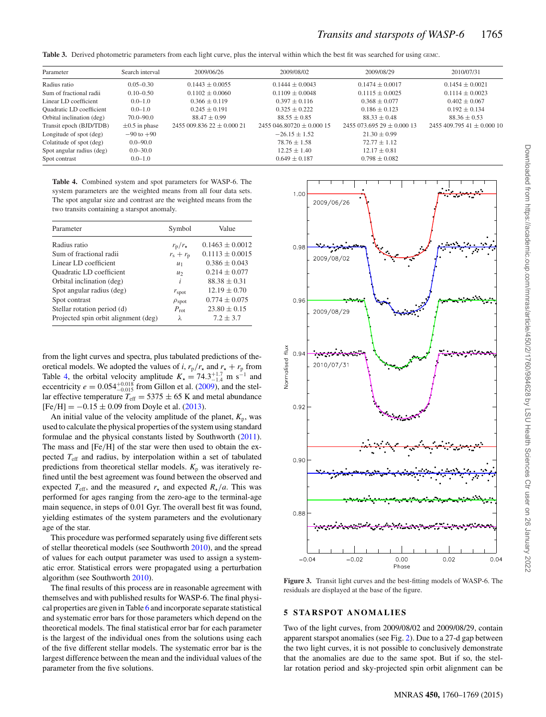<span id="page-7-0"></span>Table 3. Derived photometric parameters from each light curve, plus the interval within which the best fit was searched for using GEMC.

| Parameter                 | Search interval    | 2009/06/26                | 2009/08/02                | 2009/08/29                | 2010/07/31                     |
|---------------------------|--------------------|---------------------------|---------------------------|---------------------------|--------------------------------|
| Radius ratio              | $0.05 - 0.30$      | $0.1443 + 0.0055$         | $0.1444 + 0.0043$         | $0.1474 + 0.0017$         | $0.1454 \pm 0.0021$            |
| Sum of fractional radii   | $0.10 - 0.50$      | $0.1102 + 0.0060$         | $0.1109 + 0.0048$         | $0.1115 + 0.0025$         | $0.1114 + 0.0023$              |
| Linear LD coefficient     | $0.0 - 1.0$        | $0.366 + 0.119$           | $0.397 + 0.116$           | $0.368 + 0.077$           | $0.402 + 0.067$                |
| Quadratic LD coefficient  | $0.0 - 1.0$        | $0.245 + 0.191$           | $0.325 + 0.222$           | $0.186 + 0.123$           | $0.192 + 0.134$                |
| Orbital inclination (deg) | $70.0 - 90.0$      | $88.47 + 0.99$            | $88.55 + 0.85$            | $88.33 + 0.48$            | $88.36 \pm 0.53$               |
| Transit epoch (BJD/TDB)   | $\pm 0.5$ in phase | $2455009.83622 + 0.00021$ | $2455046.80720 + 0.00015$ | $2455073.69529 + 0.00013$ | 2455 409.795 41 $\pm$ 0.000 10 |
| Longitude of spot (deg)   | $-90$ to $+90$     |                           | $-26.15 + 1.52$           | $21.30 \pm 0.99$          |                                |
| Colatitude of spot (deg)  | $0.0 - 90.0$       |                           | $78.76 + 1.58$            | $72.77 + 1.12$            |                                |
| Spot angular radius (deg) | $0.0 - 30.0$       |                           | $12.25 + 1.40$            | $12.17 \pm 0.81$          |                                |
| Spot contrast             | $0.0 - 1.0$        |                           | $0.649 + 0.187$           | $0.798 + 0.082$           |                                |

<span id="page-7-1"></span>**Table 4.** Combined system and spot parameters for WASP-6. The system parameters are the weighted means from all four data sets. The spot angular size and contrast are the weighted means from the two transits containing a starspot anomaly.

| Parameter                            | Symbol                | Value               |
|--------------------------------------|-----------------------|---------------------|
| Radius ratio                         | $r_{\rm p}/r_{\star}$ | $0.1463 \pm 0.0012$ |
| Sum of fractional radii              | $r_{\rm s}+r_{\rm p}$ | $0.1113 \pm 0.0015$ |
| Linear LD coefficient                | $u_1$                 | $0.386 \pm 0.043$   |
| Quadratic LD coefficient             | u <sub>2</sub>        | $0.214 \pm 0.077$   |
| Orbital inclination (deg)            | i                     | $88.38 \pm 0.31$    |
| Spot angular radius (deg)            | $r_{\rm spot}$        | $12.19 \pm 0.70$    |
| Spot contrast                        | $\rho_{\text{spot}}$  | $0.774 \pm 0.075$   |
| Stellar rotation period (d)          | $P_{\rm rot}$         | $23.80 \pm 0.15$    |
| Projected spin orbit alignment (deg) | λ                     | $7.2 \pm 3.7$       |
|                                      |                       |                     |

from the light curves and spectra, plus tabulated predictions of theoretical models. We adopted the values of *i*,  $r_p/r_x$  and  $r_x + r_p$  from Table [4,](#page-7-1) the orbital velocity amplitude  $K_{\star} = 74.3_{-1.4}^{+1.7}$  m s<sup>-1</sup> and eccentricity  $e = 0.054_{-0.015}^{+0.018}$  from Gillon et al. [\(2009\)](#page-11-46), and the stellar effective temperature  $T_{\text{eff}} = 5375 \pm 65$  K and metal abundance  $[Fe/H] = -0.15 \pm 0.09$  from Doyle et al. [\(2013\)](#page-11-50).

An initial value of the velocity amplitude of the planet,  $K_p$ , was used to calculate the physical properties of the system using standard formulae and the physical constants listed by Southworth [\(2011\)](#page-11-76). The mass and [Fe/H] of the star were then used to obtain the expected *T*eff and radius, by interpolation within a set of tabulated predictions from theoretical stellar models.  $K_p$  was iteratively refined until the best agreement was found between the observed and expected  $T_{\text{eff}}$ , and the measured  $r_{\star}$  and expected  $R_{\star}/a$ . This was performed for ages ranging from the zero-age to the terminal-age main sequence, in steps of 0.01 Gyr. The overall best fit was found, yielding estimates of the system parameters and the evolutionary age of the star.

This procedure was performed separately using five different sets of stellar theoretical models (see Southworth [2010\)](#page-11-77), and the spread of values for each output parameter was used to assign a systematic error. Statistical errors were propagated using a perturbation algorithm (see Southworth [2010\)](#page-11-77).

The final results of this process are in reasonable agreement with themselves and with published results for WASP-6. The final physical properties are given in Table [6](#page-8-2) and incorporate separat[e](#page-8-0) statistical and systematic error bars for those parameters which depend on the theoretical models. The final statistical error bar for each parameter is the largest of the individual ones from the solutions using each of the five different stellar models. The systematic error bar is the largest difference between the mean and the individual values of the parameter from the five solutions.

<span id="page-7-2"></span>

**Figure 3.** Transit light curves and the best-fitting models of WASP-6. The residuals are displayed at the base of the figure.

## **5 STARSPOT ANOMALIES**

Two of the light curves, from 2009/08/02 and 2009/08/29, contain apparent starspot anomalies (see Fig. [2\)](#page-6-1). Due to a 27-d gap between the two light curves, it is not possible to conclusively demonstrate that the anomalies are due to the same spot. But if so, the stellar rotation period and sky-projected spin orbit alignment can be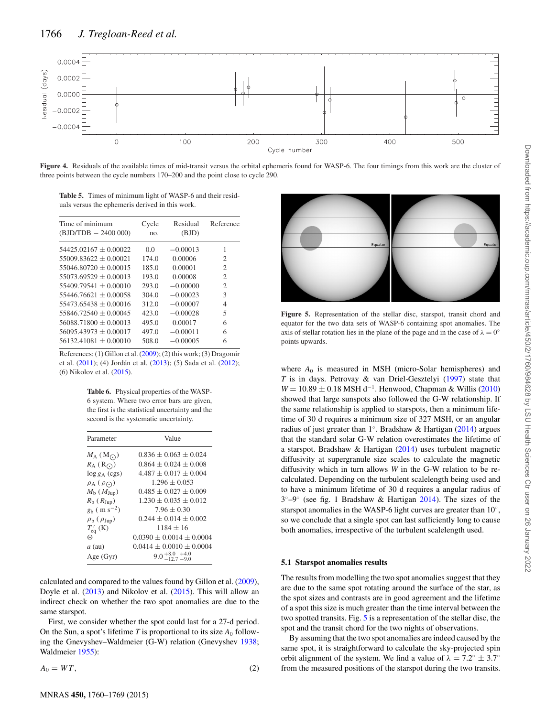<span id="page-8-0"></span>

**Figure 4.** Residuals of the available times of mid-transit versus the orbital ephemeris found for WASP-6. The four timings from this work are the cluster of three points between the cycle numbers 170–200 and the point close to cycle 290.

<span id="page-8-1"></span>**Table 5.** Times of minimum light of WASP-6 and their residuals versus the ephemeris derived in this work.

| Time of minimum<br>$(BJD/TDB - 2400000)$ | Cycle<br>no. | Residual<br>(BJD) | Reference                   |
|------------------------------------------|--------------|-------------------|-----------------------------|
| $54425.02167 + 0.00022$                  | 0.0          | $-0.00013$        | 1                           |
| $55009.83622 + 0.00021$                  | 174.0        | 0.00006           | 2                           |
| $55046.80720 + 0.00015$                  | 185.0        | 0.00001           | 2                           |
| $55073.69529 + 0.00013$                  | 193.0        | 0.00008           | $\mathcal{D}_{\mathcal{L}}$ |
| $55409.79541 + 0.00010$                  | 293.0        | $-0.00000$        | $\mathfrak{2}$              |
| $55446.76621 + 0.00058$                  | 304.0        | $-0.00023$        | 3                           |
| $55473.65438 + 0.00016$                  | 312.0        | $-0.00007$        | 4                           |
| $55846.72540 + 0.00045$                  | 423.0        | $-0.00028$        | 5                           |
| $56088.71800 + 0.00013$                  | 495.0        | 0.00017           | 6                           |
| $56095.43973 + 0.00017$                  | 497.0        | $-0.00011$        | 6                           |
| $56132.41081 \pm 0.00010$                | 508.0        | $-0.00005$        | 6                           |

<span id="page-8-2"></span>References: (1) Gillon et al. [\(2009\)](#page-11-46); (2) this work; (3) Dragomir et al. [\(2011\)](#page-11-73); (4) Jordán et al. ([2013\)](#page-11-51); (5) Sada et al. [\(2012\)](#page-11-74); (6) Nikolov et al. [\(2015\)](#page-11-52).

**Table 6.** Physical properties of the WASP-6 system. Where two error bars are given, the first is the statistical uncertainty and the second is the systematic uncertainty.

| Parameter                           | Value                                |
|-------------------------------------|--------------------------------------|
| $M_A(M_{\odot})$                    | $0.836 + 0.063 + 0.024$              |
| $R_A(R_O)$                          | $0.864 + 0.024 + 0.008$              |
| $log g_A (cgs)$                     | $4.487 + 0.017 + 0.004$              |
| $\rho_A(\rho_O)$                    | $1.296 \pm 0.053$                    |
| $M_{\rm b}$ ( $M_{\rm Jup}$ )       | $0.485 + 0.027 + 0.009$              |
| $R_{\rm b}$ ( $R_{\rm Jup}$ )       | $1.230 + 0.035 + 0.012$              |
| $g_{\rm b}$ ( m s <sup>-2</sup> )   | $7.96 \pm 0.30$                      |
| $\rho_{\rm b}$ ( $\rho_{\rm Jup}$ ) | $0.244 + 0.014 + 0.002$              |
| $T'_{eq}$ (K)                       | $1184 \pm 16$                        |
| $\Theta$                            | $0.0390 \pm 0.0014 \pm 0.0004$       |
| $a$ (au)                            | $0.0414 \pm 0.0010 \pm 0.0004$       |
| Age $(Gyr)$                         | $9.0_{-12.7}^{+8.0}{}_{-9.0}^{+4.0}$ |

calculated and compared to the values found by Gillon et al. [\(2009\)](#page-11-46), Doyle et al. [\(2013\)](#page-11-50) and Nikolov et al. [\(2015\)](#page-11-52). This will allow an indirect check on whether the two spot anomalies are due to the same starspot.

First, we consider whether the spot could last for a 27-d period. On the Sun, a spot's lifetime *T* is proportional to its size  $A_0$  following the Gnevyshev–Waldmeier (G-W) relation (Gnevyshev [1938;](#page-11-78) Waldmeier [1955\)](#page-11-79):

$$
A_0 = WT, \tag{2}
$$

<span id="page-8-3"></span>

**Figure 5.** Representation of the stellar disc, starspot, transit chord and equator for the two data sets of WASP-6 containing spot anomalies. The axis of stellar rotation lies in the plane of the page and in the case of  $\lambda = 0^\circ$ points upwards.

where  $A_0$  is measured in MSH (micro-Solar hemispheres) and *T* is in days. Petrovay & van Driel-Gesztelyi [\(1997\)](#page-11-80) state that *W* = 10.89  $\pm$  0.18 MSH d<sup>-1</sup>. Henwood, Chapman & Willis [\(2010\)](#page-11-81) showed that large sunspots also followed the G-W relationship. If the same relationship is applied to starspots, then a minimum lifetime of 30 d requires a minimum size of 327 MSH, or an angular radius of just greater than 1◦. Bradshaw & Hartigan [\(2014\)](#page-11-82) argues that the standard solar G-W relation overestimates the lifetime of a starspot. Bradshaw & Hartigan [\(2014\)](#page-11-82) uses turbulent magnetic diffusivity at supergranule size scales to calculate the magnetic diffusivity which in turn allows *W* in the G-W relation to be recalculated. Depending on the turbulent scalelength being used and to have a minimum lifetime of 30 d requires a angular radius of 3◦–9◦ (see fig. 1 Bradshaw & Hartigan [2014\)](#page-11-82). The sizes of the starspot anomalies in the WASP-6 light curves are greater than 10◦, so we conclude that a single spot can last sufficiently long to cause both anomalies, irrespective of the turbulent scalelength used.

### **5.1 Starspot anomalies results**

The results from modelling the two spot anomalies suggest that they are due to the same spot rotating around the surface of the star, as the spot sizes and contrasts are in good agreement and the lifetime of a spot this size is much greater than the time interval between the two spotted transits. Fig. [5](#page-8-3) is a representation of the stellar disc, the spot and the transit chord for the two nights of observations.

By assuming that the two spot anomalies are indeed caused by the same spot, it is straightforward to calculate the sky-projected spin orbit alignment of the system. We find a value of  $\lambda = 7.2^\circ \pm 3.7^\circ$ from the measured positions of the starspot during the two transits.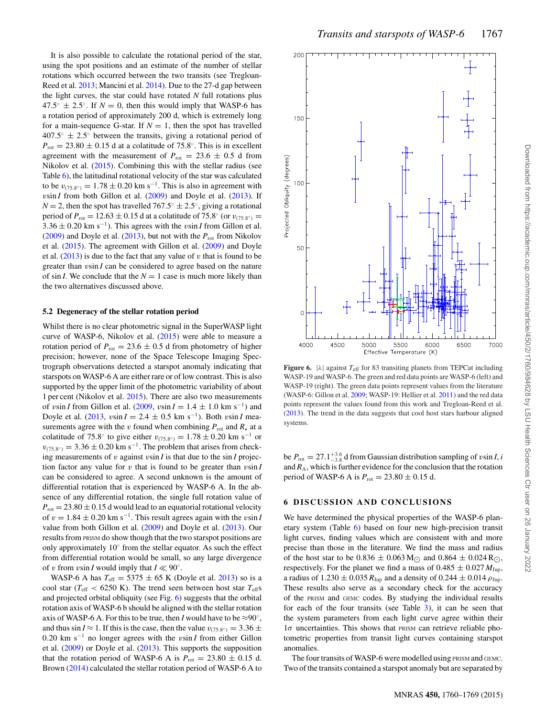It is also possible to calculate the rotational period of the star, using the spot positions and an estimate of the number of stellar rotations which occurred between the two transits (see Tregloan-Reed et al. [2013;](#page-11-53) Mancini et al. [2014\)](#page-11-56). Due to the 27-d gap between the light curves, the star could have rotated *N* full rotations plus  $47.5^\circ \pm 2.5^\circ$ . If  $N = 0$ , then this would imply that WASP-6 has a rotation period of approximately 200 d, which is extremely long for a main-sequence G-star. If  $N = 1$ , then the spot has travelled  $407.5° \pm 2.5°$  between the transits, giving a rotational period of  $P_{\text{rot}} = 23.80 \pm 0.15$  d at a colatitude of 75.8°. This is in excellent agreement with the measurement of  $P_{\text{rot}} = 23.6 \pm 0.5$  d from Nikolov et al. [\(2015\)](#page-11-52). Combining this with the stellar radius (see Table [6\)](#page-8-2), the latitudinal rotational velocity of the star was calculated to be  $v_{(75.8°)} = 1.78 \pm 0.20$  km s<sup>-1</sup>. This is also in agreement with  $v\sin I$  from both Gillon et al.  $(2009)$  and Doyle et al.  $(2013)$ . If *N* = 2, then the spot has travelled  $767.5° \pm 2.5°$ , giving a rotational period of  $P_{\text{rot}} = 12.63 \pm 0.15$  d at a colatitude of 75.8° (or  $v_{(75.8°)} =$  $3.36 \pm 0.20$  km s<sup>-1</sup>). This agrees with the *v*sin *I* from Gillon et al. [\(2009\)](#page-11-46) and Doyle et al. [\(2013\)](#page-11-50), but not with the  $P_{\text{rot}}$  from Nikolov et al. [\(2015\)](#page-11-52). The agreement with Gillon et al. [\(2009\)](#page-11-46) and Doyle et al.  $(2013)$  is due to the fact that any value of v that is found to be greater than vsin *I* can be considered to agree based on the nature of sin *I*. We conclude that the  $N = 1$  case is much more likely than the two alternatives discussed above.

#### **5.2 Degeneracy of the stellar rotation period**

Whilst there is no clear photometric signal in the SuperWASP light curve of WASP-6, Nikolov et al. [\(2015\)](#page-11-52) were able to measure a rotation period of  $P_{\text{rot}} = 23.6 \pm 0.5$  d from photometry of higher precision; however, none of the Space Telescope Imaging Spectrograph observations detected a starspot anomaly indicating that starspots on WASP-6 A are either rare or of low contrast. This is also supported by the upper limit of the photometric variability of about 1 per cent (Nikolov et al. [2015\)](#page-11-52). There are also two measurements of vsin *I* from Gillon et al. [\(2009,](#page-11-46) vsin  $I = 1.4 \pm 1.0$  km s<sup>-1</sup>) and Doyle et al.  $(2013, v\sin I = 2.4 ± 0.5$  $(2013, v\sin I = 2.4 ± 0.5$  km s<sup>−1</sup>). Both vsin *I* measurements agree with the v found when combining  $P_{\text{rot}}$  and  $R_{\star}$  at a colatitude of 75.8° to give either  $v_{(75.8°)} = 1.78 \pm 0.20$  km s<sup>-1</sup> or  $v_{(75.8°)} = 3.36 \pm 0.20$  km s<sup>-1</sup>. The problem that arises from checking measurements of v against vsin *I* is that due to the sin *I* projection factor any value for  $v$  that is found to be greater than  $v \sin I$ can be considered to agree. A second unknown is the amount of differential rotation that is experienced by WASP-6 A. In the absence of any differential rotation, the single full rotation value of  $P_{\text{rot}} = 23.80 \pm 0.15$  d would lead to an equatorial rotational velocity of  $v = 1.84 \pm 0.20$  km s<sup>-1</sup>. This result agrees again with the vsin *I* value from both Gillon et al. [\(2009\)](#page-11-46) and Doyle et al. [\(2013\)](#page-11-50). Our results from PRISM do show though that the two starspot positions are only approximately 10◦ from the stellar equator. As such the effect from differential rotation would be small, so any large divergence of v from vsin *I* would imply that  $I \ll 90^\circ$ .

WASP-6 A has  $T_{\text{eff}} = 5375 \pm 65$  K (Doyle et al. [2013\)](#page-11-50) so is a cool star ( $T_{\text{eff}}$  < 6250 K). The trend seen between host star  $T_{\text{eff}}$ s and projected orbital obliquity (see Fig. [6\)](#page-9-0) suggests that the orbital rotation axis of WASP-6 b should be aligned with the stellar rotation axis of WASP-6 A. For this to be true, then *I* would have to be  $\approx 90^\circ$ , and thus sin *I*  $\approx$  1. If this is the case, then the value  $v_{(75.8°)} = 3.36 \pm$ 0.20 km s−<sup>1</sup> no longer agrees with the vsin *I* from either Gillon et al. [\(2009\)](#page-11-46) or Doyle et al. [\(2013\)](#page-11-50). This supports the supposition that the rotation period of WASP-6 A is  $P_{\text{rot}} = 23.80 \pm 0.15$  d. Brown [\(2014\)](#page-11-83) calculated the stellar rotation period of WASP-6 A to

<span id="page-9-0"></span>

**Figure 6.**  $|\lambda|$  against  $T_{\text{eff}}$  for 83 transiting planets from TEPCat including WASP-19 and WASP-6. The green and red data points are WASP-6 (left) and WASP-19 (right). The green data points represent values from the literature (WASP-6: Gillon et al. [2009;](#page-11-46) WASP-19: Hellier et al. [2011\)](#page-11-84) and the red data points represent the values found from this work and Tregloan-Reed et al. [\(2013\)](#page-11-53). The trend in the data suggests that cool host stars harbour aligned systems.

be  $P_{\text{rot}} = 27.1_{-3.8}^{+3.6}$  d from Gaussian distribution sampling of vsin *I*, *i* and  $R_A$ , which is further evidence for the conclusion that the rotation period of WASP-6 A is  $P_{\text{rot}} = 23.80 \pm 0.15$  d.

#### **6 DISCUSSION AND CONCLUSIONS**

We have determined the physical properties of the WASP-6 planetary system (Table [6\)](#page-8-2) based on four new high-precision transit light curves, finding values which are consistent with and more precise than those in the literature. We find the mass and radius of the host star to be  $0.836 \pm 0.063 \,\mathrm{M_{\odot}}$  and  $0.864 \pm 0.024 \,\mathrm{R_{\odot}}$ , respectively. For the planet we find a mass of  $0.485 \pm 0.027 M_{\text{Jup}}$ , a radius of  $1.230 \pm 0.035 R_{Jup}$  and a density of  $0.244 \pm 0.014 \rho_{Jup}$ . These results also serve as a secondary check for the accuracy of the PRISM and GEMC codes. By studying the individual results for each of the four transits (see Table [3\)](#page-7-0), it can be seen that the system parameters from each light curve agree within their  $1\sigma$  uncertainties. This shows that PRISM can retrieve reliable photometric properties from transit light curves containing starspot anomalies.

The four transits of WASP-6 were modelled using PRISM and GEMC. Two of the transits contained a starspot anomaly but are separated by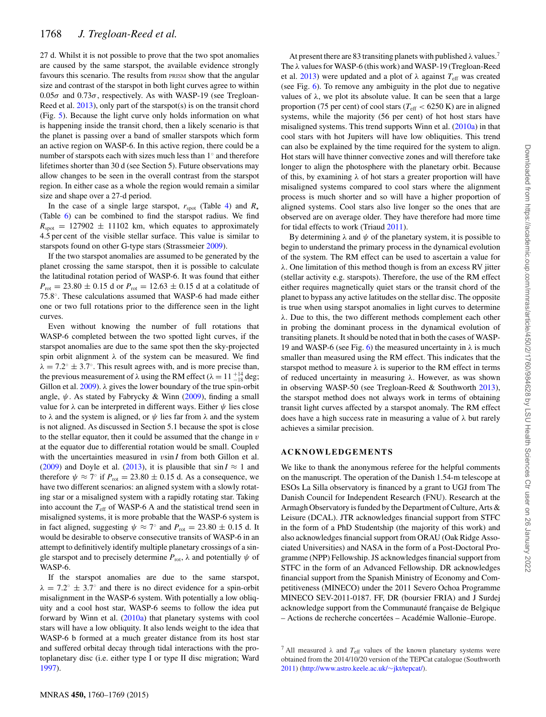27 d. Whilst it is not possible to prove that the two spot anomalies are caused by the same starspot, the available evidence strongly favours this scenario. The results from PRISM show that the angular size and contrast of the starspot in both light curves agree to within  $0.05\sigma$  and  $0.73\sigma$ , respectively. As with WASP-19 (see Tregloan-Reed et al.  $2013$ ), only part of the starspot(s) is on the transit chord (Fig. [5\)](#page-8-3). Because the light curve only holds information on what is happening inside the transit chord, then a likely scenario is that the planet is passing over a band of smaller starspots which form an active region on WASP-6. In this active region, there could be a number of starspots each with sizes much less than 1◦ and therefore lifetimes shorter than 30 d (see Section 5). Future observations may allow changes to be seen in the overall contrast from the starspot region. In either case as a whole the region would remain a similar size and shape over a 27-d period.

In the case of a single large starspot,  $r_{\text{spot}}$  (Table [4\)](#page-7-1) and  $R_{\star}$ (Table [6\)](#page-8-2) can be combined to find the starspot radius. We find  $R_{\text{spot}} = 127902 \pm 11102$  km, which equates to approximately 4.5 per cent of the visible stellar surface. This value is similar to starspots found on other G-type stars (Strassmeier [2009\)](#page-11-85).

If the two starspot anomalies are assumed to be generated by the planet crossing the same starspot, then it is possible to calculate the latitudinal rotation period of WASP-6. It was found that either  $P_{\text{rot}} = 23.80 \pm 0.15$  d or  $P_{\text{rot}} = 12.63 \pm 0.15$  d at a colatitude of 75.8◦. These calculations assumed that WASP-6 had made either one or two full rotations prior to the difference seen in the light curves.

Even without knowing the number of full rotations that WASP-6 completed between the two spotted light curves, if the starspot anomalies are due to the same spot then the sky-projected spin orbit alignment  $\lambda$  of the system can be measured. We find  $\lambda = 7.2^\circ \pm 3.7^\circ$ . This result agrees with, and is more precise than, the previous measurement of  $\lambda$  using the RM effect ( $\lambda = 11^{-14}_{-18}$  deg; Gillon et al.  $2009$ ).  $\lambda$  gives the lower boundary of the true spin-orbit angle,  $\psi$ . As stated by Fabrycky & Winn [\(2009\)](#page-11-86), finding a small value for  $\lambda$  can be interpreted in different ways. Either  $ψ$  lies close to  $\lambda$  and the system is aligned, or  $\psi$  lies far from  $\lambda$  and the system is not aligned. As discussed in Section 5.1 because the spot is close to the stellar equator, then it could be assumed that the change in  $v$ at the equator due to differential rotation would be small. Coupled with the uncertainties measured in vsin *I* from both Gillon et al. [\(2009\)](#page-11-46) and Doyle et al. [\(2013\)](#page-11-50), it is plausible that  $\sin I \approx 1$  and therefore  $\psi \approx 7^{\circ}$  if  $P_{\text{rot}} = 23.80 \pm 0.15$  d. As a consequence, we have two different scenarios: an aligned system with a slowly rotating star or a misaligned system with a rapidly rotating star. Taking into account the  $T_{\text{eff}}$  of WASP-6 A and the statistical trend seen in misaligned systems, it is more probable that the WASP-6 system is in fact aligned, suggesting  $\psi \approx 7^{\circ}$  and  $P_{\text{rot}} = 23.80 \pm 0.15$  d. It would be desirable to observe consecutive transits of WASP-6 in an attempt to definitively identify multiple planetary crossings of a single starspot and to precisely determine  $P_{\text{rot}}$ ,  $\lambda$  and potentially  $\psi$  of WASP-6.

If the starspot anomalies are due to the same starspot,  $\lambda = 7.2^{\circ} \pm 3.7^{\circ}$  and there is no direct evidence for a spin-orbit misalignment in the WASP-6 system. With potentially a low obliquity and a cool host star, WASP-6 seems to follow the idea put forward by Winn et al. [\(2010a\)](#page-11-87) that planetary systems with cool stars will have a low obliquity. It also lends weight to the idea that WASP-6 b formed at a much greater distance from its host star and suffered orbital decay through tidal interactions with the protoplanetary disc (i.e. either type I or type II disc migration; Ward [1997\)](#page-11-88).

At present there are 83 transiting planets with published  $\lambda$  values.<sup>7</sup> The λ values for WASP-6 (this work) and WASP-19 (Tregloan-Reed et al. [2013\)](#page-11-53) were updated and a plot of  $\lambda$  against  $T_{\text{eff}}$  was created (see Fig. [6\)](#page-9-0). To remove any ambiguity in the plot due to negative values of  $\lambda$ , we plot its absolute value. It can be seen that a large proportion (75 per cent) of cool stars ( $T_{\text{eff}} < 6250 \text{ K}$ ) are in aligned systems, while the majority (56 per cent) of hot host stars have misaligned systems. This trend supports Winn et al. [\(2010a\)](#page-11-87) in that cool stars with hot Jupiters will have low obliquities. This trend can also be explained by the time required for the system to align. Hot stars will have thinner convective zones and will therefore take longer to align the photosphere with the planetary orbit. Because of this, by examining  $\lambda$  of hot stars a greater proportion will have misaligned systems compared to cool stars where the alignment process is much shorter and so will have a higher proportion of aligned systems. Cool stars also live longer so the ones that are observed are on average older. They have therefore had more time for tidal effects to work (Triaud [2011\)](#page-11-89).

By determining  $\lambda$  and  $\psi$  of the planetary system, it is possible to begin to understand the primary process in the dynamical evolution of the system. The RM effect can be used to ascertain a value for  $\lambda$ . One limitation of this method though is from an excess RV jitter (stellar activity e.g. starspots). Therefore, the use of the RM effect either requires magnetically quiet stars or the transit chord of the planet to bypass any active latitudes on the stellar disc. The opposite is true when using starspot anomalies in light curves to determine λ. Due to this, the two different methods complement each other in probing the dominant process in the dynamical evolution of transiting planets. It should be noted that in both the cases of WASP-19 and WASP-6 (see Fig. [6\)](#page-9-0) the measured uncertainty in  $\lambda$  is much smaller than measured using the RM effect. This indicates that the starspot method to measure  $\lambda$  is superior to the RM effect in terms of reduced uncertainty in measuring  $\lambda$ . However, as was shown in observing WASP-50 (see Tregloan-Reed & Southworth [2013\)](#page-11-90), the starspot method does not always work in terms of obtaining transit light curves affected by a starspot anomaly. The RM effect does have a high success rate in measuring a value of  $\lambda$  but rarely achieves a similar precision.

## **ACKNOWLEDGEMENTS**

We like to thank the anonymous referee for the helpful comments on the manuscript. The operation of the Danish 1.54-m telescope at ESOs La Silla observatory is financed by a grant to UGJ from The Danish Council for Independent Research (FNU). Research at the Armagh Observatory is funded by the Department of Culture, Arts & Leisure (DCAL). JTR acknowledges financial support from STFC in the form of a PhD Studentship (the majority of this work) and also acknowledges financial support from ORAU (Oak Ridge Associated Universities) and NASA in the form of a Post-Doctoral Programme (NPP) Fellowship. JS acknowledges financial support from STFC in the form of an Advanced Fellowship. DR acknowledges financial support from the Spanish Ministry of Economy and Competitiveness (MINECO) under the 2011 Severo Ochoa Programme MINECO SEV-2011-0187. FF, DR (boursier FRIA) and J Surdej acknowledge support from the Communauté française de Belgique – Actions de recherche concertées – Académie Wallonie–Europe.

<sup>&</sup>lt;sup>7</sup> All measured  $\lambda$  and  $T_{\text{eff}}$  values of the known planetary systems were obtained from the 2014/10/20 version of the TEPCat catalogue (Southworth [2011\)](#page-11-76) [\(http://www.astro.keele.ac.uk/](http://www.astro.keele.ac.uk/protect $
elax sim $jkt/tepcat/)∼jkt/tepcat/).